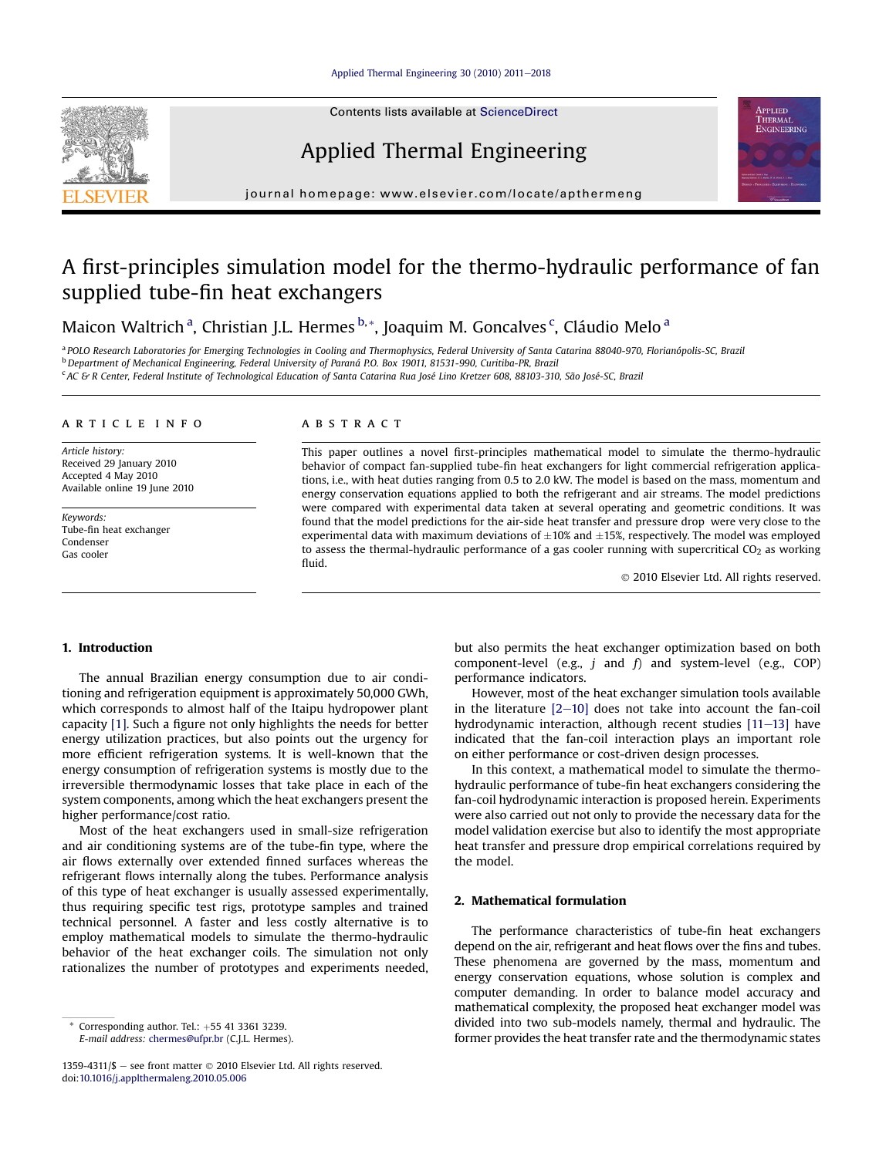#### [Applied Thermal Engineering 30 \(2010\) 2011](http://dx.doi.org/10.1016/j.applthermaleng.2010.05.006)-[2018](http://dx.doi.org/10.1016/j.applthermaleng.2010.05.006)

Contents lists available at ScienceDirect

Applied Thermal Engineering



## A first-principles simulation model for the thermo-hydraulic performance of fan supplied tube-fin heat exchangers

Maicon Waltrich <sup>a</sup>, Christian J.L. Hermes <sup>b,</sup>\*, Joaquim M. Goncalves <sup>c</sup>, Cláudio Melo <sup>a</sup>

a POLO Research Laboratories for Emerging Technologies in Cooling and Thermophysics, Federal University of Santa Catarina 88040-970, Florianópolis-SC, Brazil <sup>b</sup> Department of Mechanical Engineering, Federal University of Paraná P.O. Box 19011, 81531-990, Curitiba-PR, Brazil <sup>c</sup> AC & R Center, Federal Institute of Technological Education of Santa Catarina Rua José Lino Kretzer 608, 88103-310, São José-SC, Brazil

#### article info

Article history: Received 29 January 2010 Accepted 4 May 2010 Available online 19 June 2010

Keywords: Tube-fin heat exchanger Condenser Gas cooler

### **ABSTRACT**

This paper outlines a novel first-principles mathematical model to simulate the thermo-hydraulic behavior of compact fan-supplied tube-fin heat exchangers for light commercial refrigeration applications, i.e., with heat duties ranging from 0.5 to 2.0 kW. The model is based on the mass, momentum and energy conservation equations applied to both the refrigerant and air streams. The model predictions were compared with experimental data taken at several operating and geometric conditions. It was found that the model predictions for the air-side heat transfer and pressure drop were very close to the experimental data with maximum deviations of  $\pm 10\%$  and  $\pm 15\%$ , respectively. The model was employed to assess the thermal-hydraulic performance of a gas cooler running with supercritical  $CO<sub>2</sub>$  as working fluid.

2010 Elsevier Ltd. All rights reserved.

**APPLIED** THERMAI **ENGINEERING** 

## 1. Introduction

The annual Brazilian energy consumption due to air conditioning and refrigeration equipment is approximately 50,000 GWh, which corresponds to almost half of the Itaipu hydropower plant capacity [\[1\].](#page--1-0) Such a figure not only highlights the needs for better energy utilization practices, but also points out the urgency for more efficient refrigeration systems. It is well-known that the energy consumption of refrigeration systems is mostly due to the irreversible thermodynamic losses that take place in each of the system components, among which the heat exchangers present the higher performance/cost ratio.

Most of the heat exchangers used in small-size refrigeration and air conditioning systems are of the tube-fin type, where the air flows externally over extended finned surfaces whereas the refrigerant flows internally along the tubes. Performance analysis of this type of heat exchanger is usually assessed experimentally, thus requiring specific test rigs, prototype samples and trained technical personnel. A faster and less costly alternative is to employ mathematical models to simulate the thermo-hydraulic behavior of the heat exchanger coils. The simulation not only rationalizes the number of prototypes and experiments needed,

1359-4311/\$ - see front matter  $\odot$  2010 Elsevier Ltd. All rights reserved. doi[:10.1016/j.applthermaleng.2010.05.006](http://dx.doi.org/10.1016/j.applthermaleng.2010.05.006)

but also permits the heat exchanger optimization based on both component-level (e.g.,  $j$  and  $f$ ) and system-level (e.g., COP) performance indicators.

However, most of the heat exchanger simulation tools available in the literature  $[2-10]$  $[2-10]$  $[2-10]$  does not take into account the fan-coil hydrodynamic interaction, although recent studies  $[11-13]$  $[11-13]$  $[11-13]$  have indicated that the fan-coil interaction plays an important role on either performance or cost-driven design processes.

In this context, a mathematical model to simulate the thermohydraulic performance of tube-fin heat exchangers considering the fan-coil hydrodynamic interaction is proposed herein. Experiments were also carried out not only to provide the necessary data for the model validation exercise but also to identify the most appropriate heat transfer and pressure drop empirical correlations required by the model.

## 2. Mathematical formulation

The performance characteristics of tube-fin heat exchangers depend on the air, refrigerant and heat flows over the fins and tubes. These phenomena are governed by the mass, momentum and energy conservation equations, whose solution is complex and computer demanding. In order to balance model accuracy and mathematical complexity, the proposed heat exchanger model was divided into two sub-models namely, thermal and hydraulic. The former provides the heat transfer rate and the thermodynamic states

Corresponding author. Tel.:  $+55$  41 3361 3239. E-mail address: [chermes@ufpr.br](mailto:chermes@ufpr.br) (C.J.L. Hermes).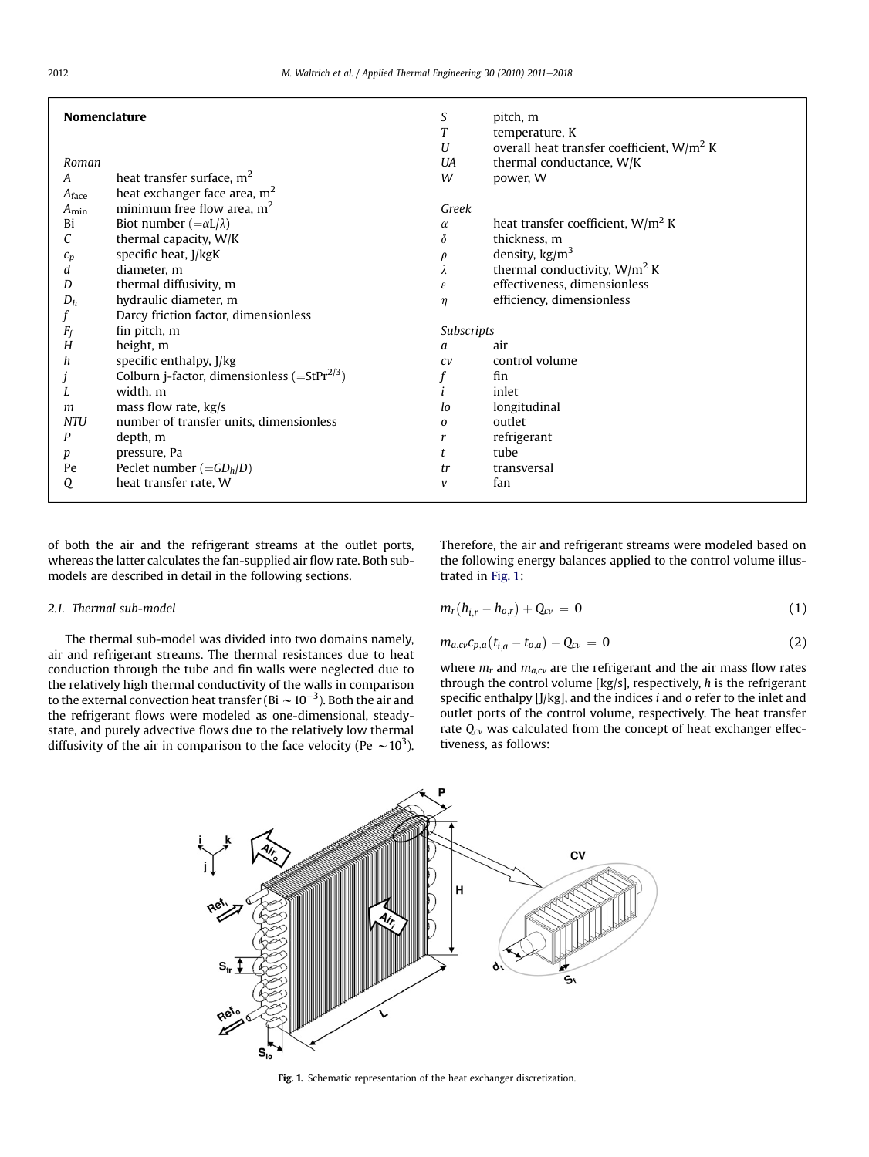| <b>Nomenclature</b> |                                                            | S<br>T       | pitch, m                                                       |
|---------------------|------------------------------------------------------------|--------------|----------------------------------------------------------------|
|                     |                                                            | U            | temperature, K<br>overall heat transfer coefficient, $W/m^2 K$ |
| Roman               |                                                            | UA           | thermal conductance, W/K                                       |
| A                   | heat transfer surface, $m2$                                | W            | power, W                                                       |
| $A_{\text{face}}$   | heat exchanger face area, m <sup>2</sup>                   |              |                                                                |
| $A_{\min}$          | minimum free flow area, $m2$                               | Greek        |                                                                |
| Bi                  | Biot number $(=\alpha L/\lambda)$                          | $\alpha$     | heat transfer coefficient, $W/m^2 K$                           |
| С                   | thermal capacity, W/K                                      | $\delta$     | thickness, m                                                   |
| $\sqrt{c_p}$        | specific heat, J/kgK                                       | $\rho$       | density, $\text{kg/m}^3$                                       |
| d                   | diameter, m                                                | λ            | thermal conductivity, $W/m^2 K$                                |
| D                   | thermal diffusivity, m                                     | ε            | effectiveness, dimensionless                                   |
| $D_h$               | hydraulic diameter, m                                      | $\eta$       | efficiency, dimensionless                                      |
|                     | Darcy friction factor, dimensionless                       |              |                                                                |
| $F_f$               | fin pitch, m                                               | Subscripts   |                                                                |
| Н                   | height, m                                                  | a            | air                                                            |
| h                   | specific enthalpy, J/kg                                    | CV           | control volume                                                 |
|                     | Colburn j-factor, dimensionless ( $=StPr^{2/3}$ )          |              | fin                                                            |
|                     | width, m                                                   |              | inlet                                                          |
| m                   | mass flow rate, kg/s                                       | lo           | longitudinal                                                   |
| <b>NTU</b>          | number of transfer units, dimensionless                    | $\Omega$     | outlet                                                         |
| P                   | depth, m                                                   | r            | refrigerant                                                    |
| р                   | pressure, Pa                                               | t            | tube                                                           |
| Pe                  | Peclet number $(=\frac{GD_h}{D})$<br>heat transfer rate, W | tr           | transversal<br>fan                                             |
| Q                   |                                                            | $\mathcal V$ |                                                                |

of both the air and the refrigerant streams at the outlet ports, whereas the latter calculates the fan-supplied air flow rate. Both submodels are described in detail in the following sections.

## 2.1. Thermal sub-model

The thermal sub-model was divided into two domains namely, air and refrigerant streams. The thermal resistances due to heat conduction through the tube and fin walls were neglected due to the relatively high thermal conductivity of the walls in comparison to the external convection heat transfer (Bi  $\sim$  10 $^{-3}$ ). Both the air and the refrigerant flows were modeled as one-dimensional, steadystate, and purely advective flows due to the relatively low thermal diffusivity of the air in comparison to the face velocity (Pe  $\sim$  10<sup>3</sup>).

Therefore, the air and refrigerant streams were modeled based on the following energy balances applied to the control volume illustrated in Fig. 1:

$$
m_r(h_{i,r}-h_{o,r})+Q_{cv}=0
$$
 (1)

$$
m_{a,cv}c_{p,a}(t_{i,a}-t_{o,a})-Q_{cv}=0
$$
\n(2)

where  $m_r$  and  $m_{a, cv}$  are the refrigerant and the air mass flow rates through the control volume [kg/s], respectively, h is the refrigerant specific enthalpy [J/kg], and the indices *i* and *o* refer to the inlet and outlet ports of the control volume, respectively. The heat transfer rate  $Q_{cv}$  was calculated from the concept of heat exchanger effectiveness, as follows:



#### Fig. 1. Schematic representation of the heat exchanger discretization.